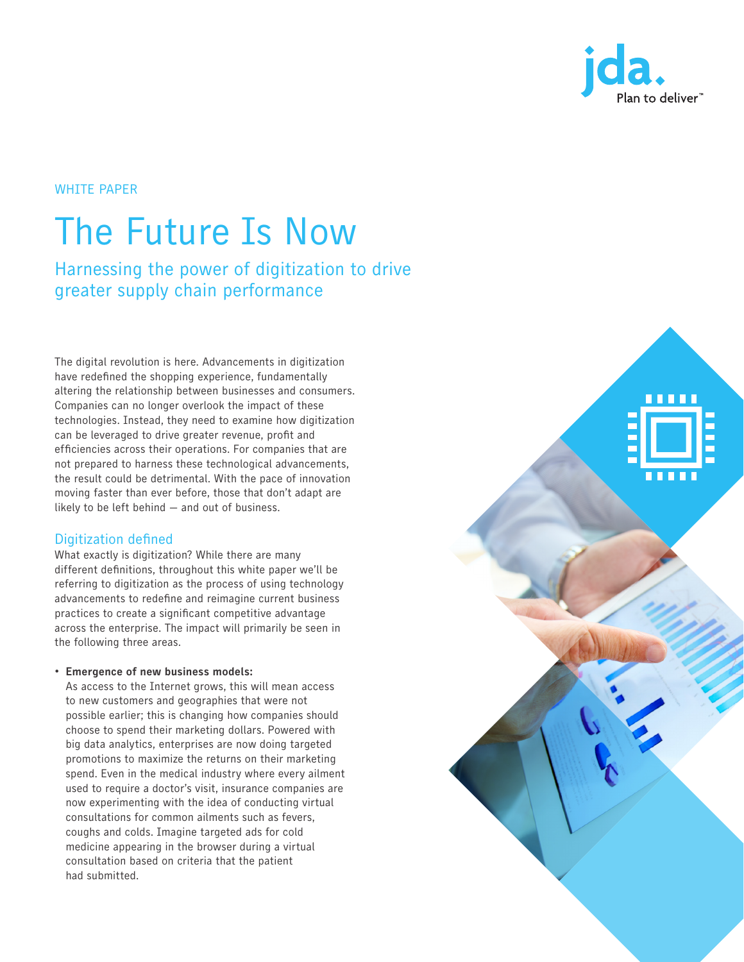

**THEFT** 

# The Future Is Now

Harnessing the power of digitization to drive greater supply chain performance

The digital revolution is here. Advancements in digitization have redefined the shopping experience, fundamentally altering the relationship between businesses and consumers. Companies can no longer overlook the impact of these technologies. Instead, they need to examine how digitization can be leveraged to drive greater revenue, profit and efficiencies across their operations. For companies that are not prepared to harness these technological advancements, the result could be detrimental. With the pace of innovation moving faster than ever before, those that don't adapt are likely to be left behind — and out of business.

# Digitization defined

What exactly is digitization? While there are many different definitions, throughout this white paper we'll be referring to digitization as the process of using technology advancements to redefine and reimagine current business practices to create a significant competitive advantage across the enterprise. The impact will primarily be seen in the following three areas.

## • Emergence of new business models:

As access to the Internet grows, this will mean access to new customers and geographies that were not possible earlier; this is changing how companies should choose to spend their marketing dollars. Powered with big data analytics, enterprises are now doing targeted promotions to maximize the returns on their marketing spend. Even in the medical industry where every ailment used to require a doctor's visit, insurance companies are now experimenting with the idea of conducting virtual consultations for common ailments such as fevers, coughs and colds. Imagine targeted ads for cold medicine appearing in the browser during a virtual consultation based on criteria that the patient had submitted.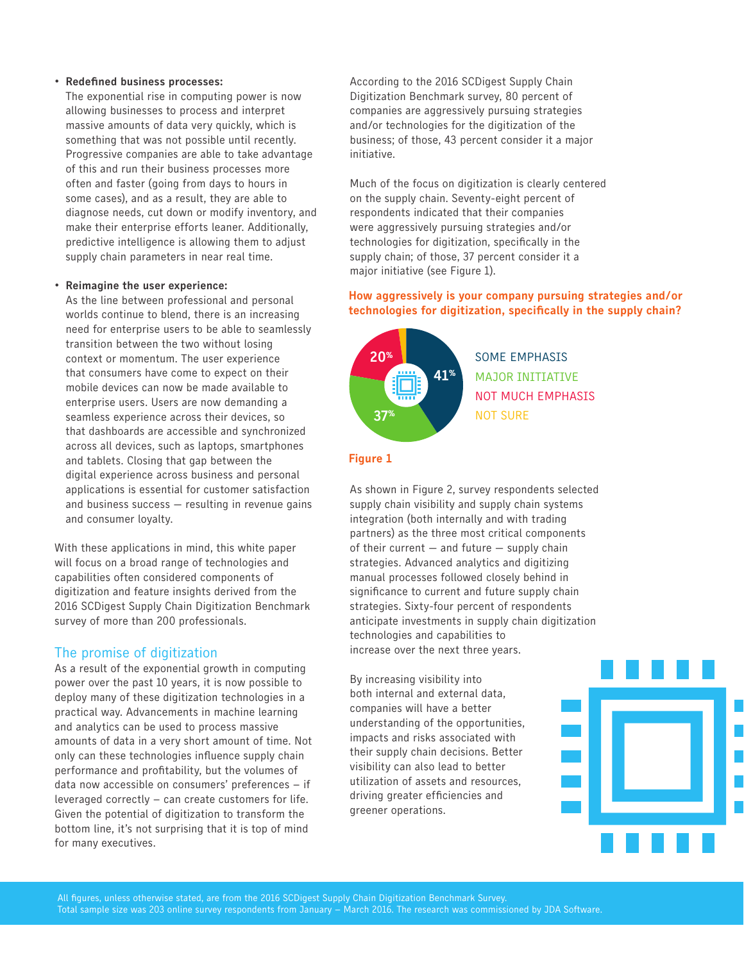#### • Redefined business processes:

The exponential rise in computing power is now allowing businesses to process and interpret massive amounts of data very quickly, which is something that was not possible until recently. Progressive companies are able to take advantage of this and run their business processes more often and faster (going from days to hours in some cases), and as a result, they are able to diagnose needs, cut down or modify inventory, and make their enterprise efforts leaner. Additionally, predictive intelligence is allowing them to adjust supply chain parameters in near real time.

#### • Reimagine the user experience:

As the line between professional and personal worlds continue to blend, there is an increasing need for enterprise users to be able to seamlessly transition between the two without losing context or momentum. The user experience that consumers have come to expect on their mobile devices can now be made available to enterprise users. Users are now demanding a seamless experience across their devices, so that dashboards are accessible and synchronized across all devices, such as laptops, smartphones and tablets. Closing that gap between the digital experience across business and personal applications is essential for customer satisfaction and business success — resulting in revenue gains and consumer loyalty.

With these applications in mind, this white paper will focus on a broad range of technologies and capabilities often considered components of digitization and feature insights derived from the 2016 SCDigest Supply Chain Digitization Benchmark survey of more than 200 professionals.

## The promise of digitization

As a result of the exponential growth in computing  $\begin{array}{c} \mathbf{S} & \mathbf{S} \\ \mathbf{S} & \mathbf{S} \end{array}$ power over the past 10 years, it is now possible to deploy many of these digitization technologies in a practical way. Advancements in machine learning and analytics can be used to process massive amounts of data in a very short amount of time. Not only can these technologies influence supply chain performance and profitability, but the volumes of data now accessible on consumers' preferences – if  $S = \frac{1}{2}$  leveraged correctly  $-$  can create customers for life. Given the potential of digitization to transform the bottom line, it's not surprising that it is top of mind for many executives.

According to the 2016 SCDigest Supply Chain Digitization Benchmark survey, 80 percent of companies are aggressively pursuing strategies and/or technologies for the digitization of the business; of those, 43 percent consider it a major initiative.

Much of the focus on digitization is clearly centered on the supply chain. Seventy-eight percent of respondents indicated that their companies were aggressively pursuing strategies and/or technologies for digitization, specifically in the supply chain; of those, 37 percent consider it a major initiative (see Figure 1).

## How aggressively is your company pursuing strategies and/or technologies for digitization, specifically in the supply chain?



SOME EMPHASIS MAJOR INITIATIVE NOT MUCH EMPHASIS NOT SURE

#### Figure 1

As shown in Figure 2, survey respondents selected supply chain visibility and supply chain systems integration (both internally and with trading partners) as the three most critical components partners, as the times most striked component of their current – and future – supply chain strategies. Advanced analytics and digitizing manual processes followed closely behind in significance to current and future supply chain strategies. Sixty-four percent of respondents anticipate investments in supply chain digitization technologies and capabilities to increase over the next three years.

By increasing visibility into  $\frac{1}{10}$  to  $\frac{2}{3}$  increasing visiting integration internal and external data, companies will have a better understanding of the opportunities, 1 impacts and risks associated with their supply chain decisions. Better visibility can also lead to better utilization of assets and resources, driving greater efficiencies and ariving greater ernotenotes an<br>greener operations. 35%

NOT SURE



41%

35%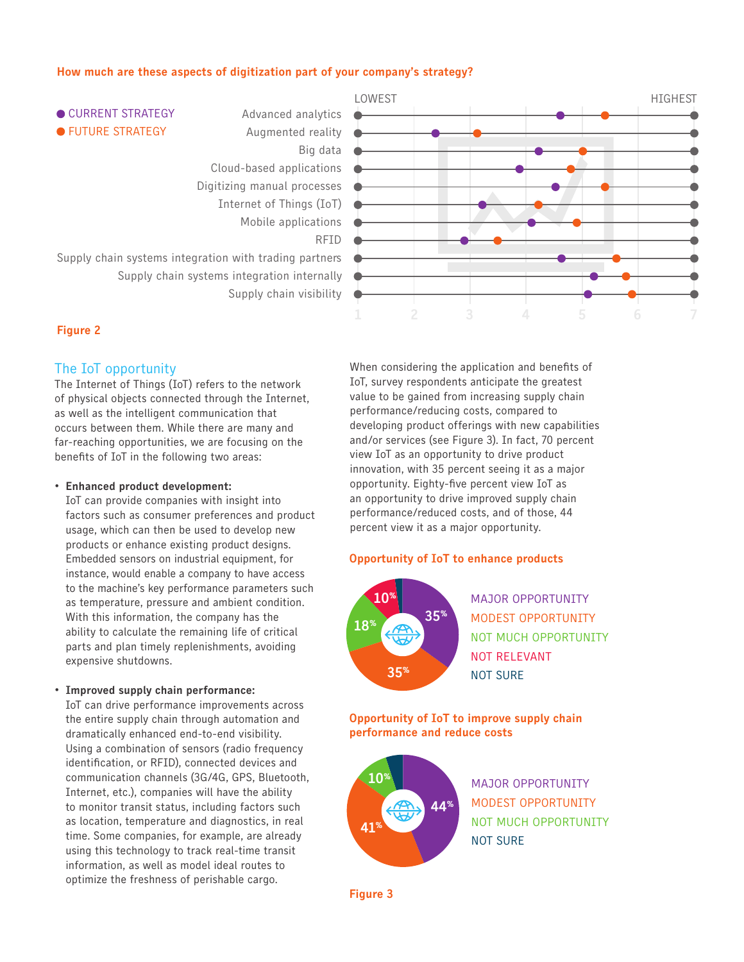## How much are these aspects of digitization part of your company's strategy?



#### Figure 2

## The IoT opportunity

The Internet of Things (IoT) refers to the network The Internet of Things (101) refers to the hetwork<br>of physical objects connected through the Internet, as well as the intelligent communication that occurs between them. While there are many and  $\sim$ far-reaching opportunities, we are focusing on the benefits of IoT in the following two areas:

#### • Enhanced product development:

IoT can provide companies with insight into factors such as consumer preferences and product usage, which can then be used to develop new products or enhance existing product designs. produces of omitation sixteening product designs: instance, would enable a company to have access to the machine's key performance parameters such to the machine's key performance parameters such<br>as temperature, pressure and ambient condition. With this information, the company has the ability to calculate the remaining life of critical<br>naste and plan timely replacibly cate availing parts and plan timely replenishments, avoiding expensive shutdowns.  $\frac{a}{2}$ 

#### • Improved supply chain performance:

improved supply sham performance:<br>IoT can drive performance improvements across the entire supply chain through automation and dramatically enhanced end-to-end visibility. Using a combination of sensors (radio frequency identification, or RFID), connected devices and communication channels (3G/4G, GPS, Bluetooth, Internet, etc.), companies will have the ability to monitor transit status, including factors such to moment transit status, including ractors such<br>as location, temperature and diagnostics, in real time. Some companies, for example, are already using this technology to track real-time transit information, as well as model ideal routes to optimize the freshness of perishable cargo.  $\vert 0.$ |||<br>0.10

When considering the application and benefits of Their concreting the application and actionity of<br>IoT, survey respondents anticipate the greatest value to be gained from increasing supply chain performance/reducing costs, compared to developing product offerings with new capabilities and/or services (see Figure 3). In fact, 70 percent<br>Niew IeT as an appartunity to drive product view IoT as an opportunity to drive product innovation, with 35 percent seeing it as a major opportunity. Eighty-five percent view IoT as an opportunity to drive improved supply chain performance/reduced costs, and of those, 44 percent view it as a major opportunity.  $\frac{V}{I}$ 

#### Opportunity of IoT to enhance products



NOT BELEVANT NOT RELEVANT MAJOR OPPORTUNITY MODEST OPPORTUNITY NOT MUCH OPPORTUNITY NOT SURE

Opportunity of IoT to improve supply chain performance and reduce costs



MAJOR OPPORTUNITY MODEST OPPORTUNITY NOT MUCH OPPORTUNITY NOT SURE

Figure 3  $g$ ure 3 monitoring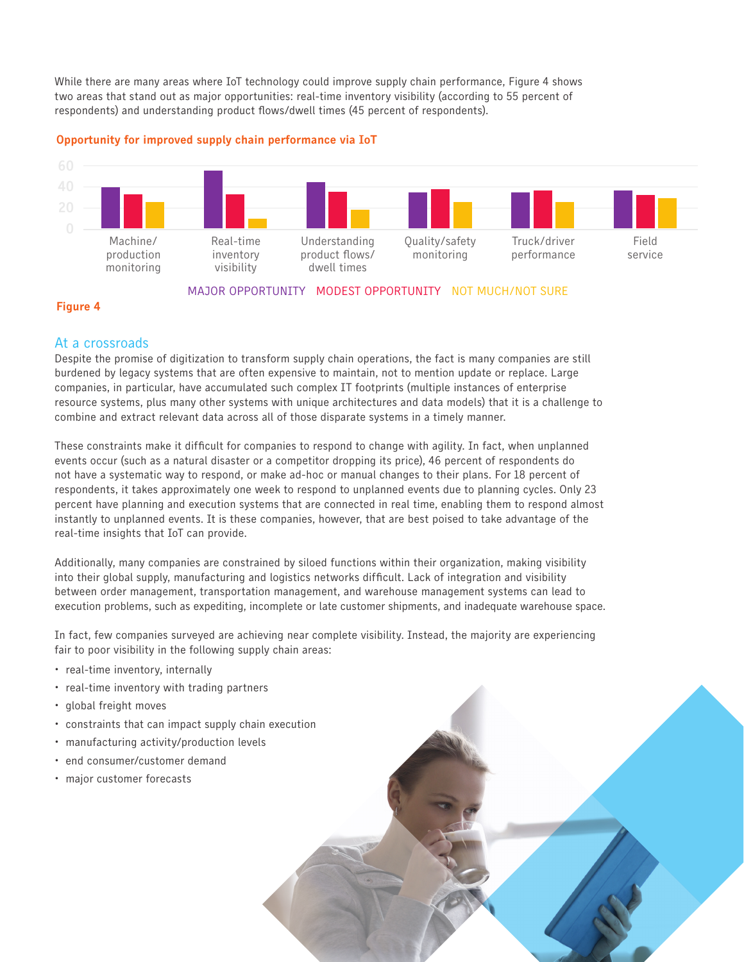While there are many areas where IoT technology could improve supply chain performance, Figure 4 shows two areas that stand out as major opportunities: real-time inventory visibility (according to 55 percent of respondents) and understanding product flows/dwell times (45 percent of respondents).





# MAJOR OPPORTUNITY MODEST OPPORTUNITY NOT MUCH/NOT SURE

## Figure 4

# At a crossroads

Despite the promise of digitization to transform supply chain operations, the fact is many companies are still burdened by legacy systems that are often expensive to maintain, not to mention update or replace. Large companies, in particular, have accumulated such complex IT footprints (multiple instances of enterprise 80 resource systems, plus many other systems with unique architectures and data models) that it is a challenge to<br>
1. Collection of the contract of the collection of the collection of the contract of the contract of the chal combine and extract relevant data across all of those disparate systems in a timely manner. 40

These constraints make it difficult for companies to respond to change with agility. In fact, when unplanned events occur (such as a natural disaster or a competitor dropping its price), 46 percent of respondents do 0 not have a systematic way to respond, or make ad-hoc or manual changes to their plans. For 18 percent of respondents, it takes approximately one week to respond to unplanned events due to planning cycles. Only 23 percent have planning and execution systems that are connected in real time, enabling them to respond almost .<br>Instantly to unplanned events. It is these companies, however, that are best poised to take advantage of the real-time insights that IoT can provide.  $S$  and for van provide.

Additionally, many companies are constrained by siloed functions within their organization, making visibility into their global supply, manufacturing and logistics networks difficult. Lack of integration and visibility between order management, transportation management, and warehouse management systems can lead to execution problems, such as expediting, incomplete or late customer shipments, and inadequate warehouse space.

.<br>In fact, few companies surveyed are achieving near complete visibility. Instead, the majority are experiencing  $f$ air to poor visibility in the following supply chain areas:

 $\frac{1}{2}$  3  $\frac{1}{2}$  3  $\frac{1}{2}$  3  $\frac{1}{2}$  3  $\frac{1}{2}$  3  $\frac{1}{2}$  3  $\frac{1}{2}$  3  $\frac{1}{2}$  3  $\frac{1}{2}$  3  $\frac{1}{2}$  3  $\frac{1}{2}$  3  $\frac{1}{2}$  3  $\frac{1}{2}$  3  $\frac{1}{2}$  3  $\frac{1}{2}$  3  $\frac{1}{2}$  3  $\frac{1}{2}$  3  $\frac{1}{2}$  3  $\frac{1$ 

 $44%$ 

35%

30% 30% 29%

15% 12%

59%

52%

- real-time inventory, internally
- real-time inventory with trading partners
- global freight moves
- constraints that can impact supply chain execution

Supply chain systems integration with trading partners

Supply chain systems integration internally

Internet of Things (IoT) Mobile applications

Big data

Digitizing manual processes

Cloud-based applications of the control of the control of the control of the control of the control of the control of the control of the control of the control of the control of the control of the control of the control of

- manufacturing activity/production levels
- end consumer/customer demand
- major customer forecasts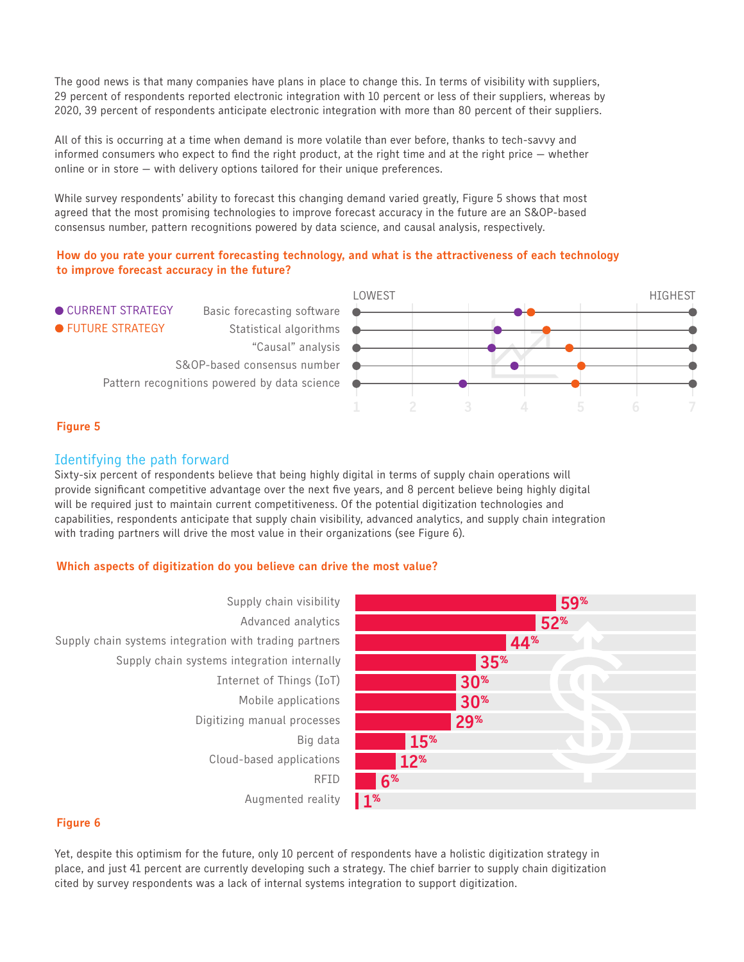The good news is that many companies have plans in place to change this. In terms of visibility with suppliers, 80 Fire good news is that many companies have plans in place to change this. In terms or visibility with suppliers,<br>29 percent of respondents reported electronic integration with 10 percent or less of their suppliers, whereas 2020, 39 percent of respondents anticipate electronic integration with more than 80 percent of their suppliers. 40 y companies nave plans in place to change this. In terms of visibility with sup

All of this is occurring at a time when demand is more volatile than ever before, thanks to tech-savvy and informed consumers who expect to find the right product, at the right time and at the right price  $-$  whether online or in store  $-$  with delivery options tailored for their unique preferences. l (<br>--

While survey respondents' ability to forecast this changing demand varied greatly, Figure 5 shows that most agreed that the most promising technologies to improve forecast accuracy in the future are an S&OP-based agreca that the most promising technologies to improve forceast accuracy in the future are an occir-based<br>consensus number, pattern recognitions powered by data science, and causal analysis, respectively.

# How do you rate your current forecasting technology, and what is the attractiveness of each technology 0 to improve forecast accuracy in the future?



# Figure 5

# Identifying the path forward

Sixty-six percent of respondents believe that being highly digital in terms of supply chain operations will provide significant competitive advantage over the next five years, and 8 percent believe being highly digital will be required just to maintain current competitiveness. Of the potential digitization technologies and<br>canabilities, respondents anticipate that sunnly chain visibility, advanced analytics, and sunnly chain inte capabilities, respondents anticipate that supply chain visibility, advanced analytics, and supply chain integration<br>with trading partners will drive the most value in their organizations (see Figure 6). explanation, responsionity antiorpate that supply chain trading, actualled analysise, and with trading partners will drive the most value in their organizations (see Figure 6).

# Which aspects of digitization do you believe can drive the most value?



## Figure 6

Yet, despite this optimism for the future, only 10 percent of respondents have a holistic digitization strategy in place, and just 41 percent are currently developing such a strategy. The chief barrier to supply chain digitization cited by survey respondents was a lack of internal systems integration to support digitization.